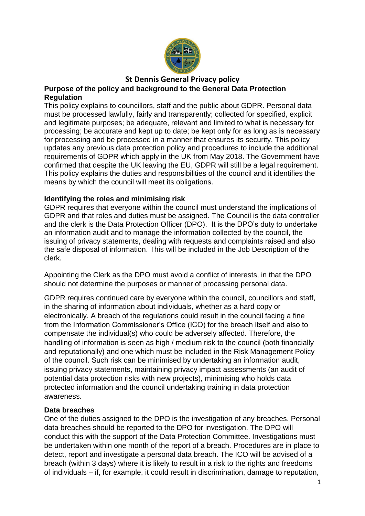

# **St Dennis General Privacy policy**

#### **Purpose of the policy and background to the General Data Protection Regulation**

This policy explains to councillors, staff and the public about GDPR. Personal data must be processed lawfully, fairly and transparently; collected for specified, explicit and legitimate purposes; be adequate, relevant and limited to what is necessary for processing; be accurate and kept up to date; be kept only for as long as is necessary for processing and be processed in a manner that ensures its security. This policy updates any previous data protection policy and procedures to include the additional requirements of GDPR which apply in the UK from May 2018. The Government have confirmed that despite the UK leaving the EU, GDPR will still be a legal requirement. This policy explains the duties and responsibilities of the council and it identifies the means by which the council will meet its obligations.

#### **Identifying the roles and minimising risk**

GDPR requires that everyone within the council must understand the implications of GDPR and that roles and duties must be assigned. The Council is the data controller and the clerk is the Data Protection Officer (DPO). It is the DPO's duty to undertake an information audit and to manage the information collected by the council, the issuing of privacy statements, dealing with requests and complaints raised and also the safe disposal of information. This will be included in the Job Description of the clerk.

Appointing the Clerk as the DPO must avoid a conflict of interests, in that the DPO should not determine the purposes or manner of processing personal data.

GDPR requires continued care by everyone within the council, councillors and staff, in the sharing of information about individuals, whether as a hard copy or electronically. A breach of the regulations could result in the council facing a fine from the Information Commissioner's Office (ICO) for the breach itself and also to compensate the individual(s) who could be adversely affected. Therefore, the handling of information is seen as high / medium risk to the council (both financially and reputationally) and one which must be included in the Risk Management Policy of the council. Such risk can be minimised by undertaking an information audit, issuing privacy statements, maintaining privacy impact assessments (an audit of potential data protection risks with new projects), minimising who holds data protected information and the council undertaking training in data protection awareness.

#### **Data breaches**

One of the duties assigned to the DPO is the investigation of any breaches. Personal data breaches should be reported to the DPO for investigation. The DPO will conduct this with the support of the Data Protection Committee. Investigations must be undertaken within one month of the report of a breach. Procedures are in place to detect, report and investigate a personal data breach. The ICO will be advised of a breach (within 3 days) where it is likely to result in a risk to the rights and freedoms of individuals – if, for example, it could result in discrimination, damage to reputation,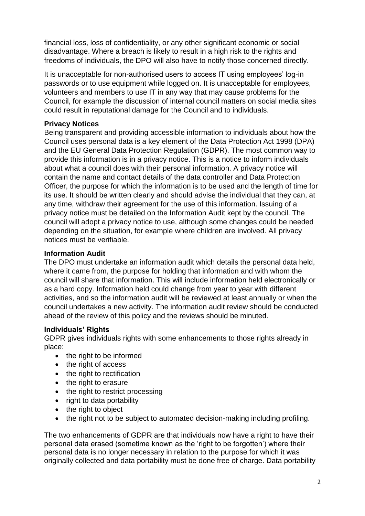financial loss, loss of confidentiality, or any other significant economic or social disadvantage. Where a breach is likely to result in a high risk to the rights and freedoms of individuals, the DPO will also have to notify those concerned directly.

It is unacceptable for non-authorised users to access IT using employees' log-in passwords or to use equipment while logged on. It is unacceptable for employees, volunteers and members to use IT in any way that may cause problems for the Council, for example the discussion of internal council matters on social media sites could result in reputational damage for the Council and to individuals.

## **Privacy Notices**

Being transparent and providing accessible information to individuals about how the Council uses personal data is a key element of the Data Protection Act 1998 (DPA) and the EU General Data Protection Regulation (GDPR). The most common way to provide this information is in a privacy notice. This is a notice to inform individuals about what a council does with their personal information. A privacy notice will contain the name and contact details of the data controller and Data Protection Officer, the purpose for which the information is to be used and the length of time for its use. It should be written clearly and should advise the individual that they can, at any time, withdraw their agreement for the use of this information. Issuing of a privacy notice must be detailed on the Information Audit kept by the council. The council will adopt a privacy notice to use, although some changes could be needed depending on the situation, for example where children are involved. All privacy notices must be verifiable.

# **Information Audit**

The DPO must undertake an information audit which details the personal data held, where it came from, the purpose for holding that information and with whom the council will share that information. This will include information held electronically or as a hard copy. Information held could change from year to year with different activities, and so the information audit will be reviewed at least annually or when the council undertakes a new activity. The information audit review should be conducted ahead of the review of this policy and the reviews should be minuted.

### **Individuals' Rights**

GDPR gives individuals rights with some enhancements to those rights already in place:

- the right to be informed
- the right of access
- the right to rectification
- the right to erasure
- the right to restrict processing
- right to data portability
- the right to object
- the right not to be subject to automated decision-making including profiling.

The two enhancements of GDPR are that individuals now have a right to have their personal data erased (sometime known as the 'right to be forgotten') where their personal data is no longer necessary in relation to the purpose for which it was originally collected and data portability must be done free of charge. Data portability